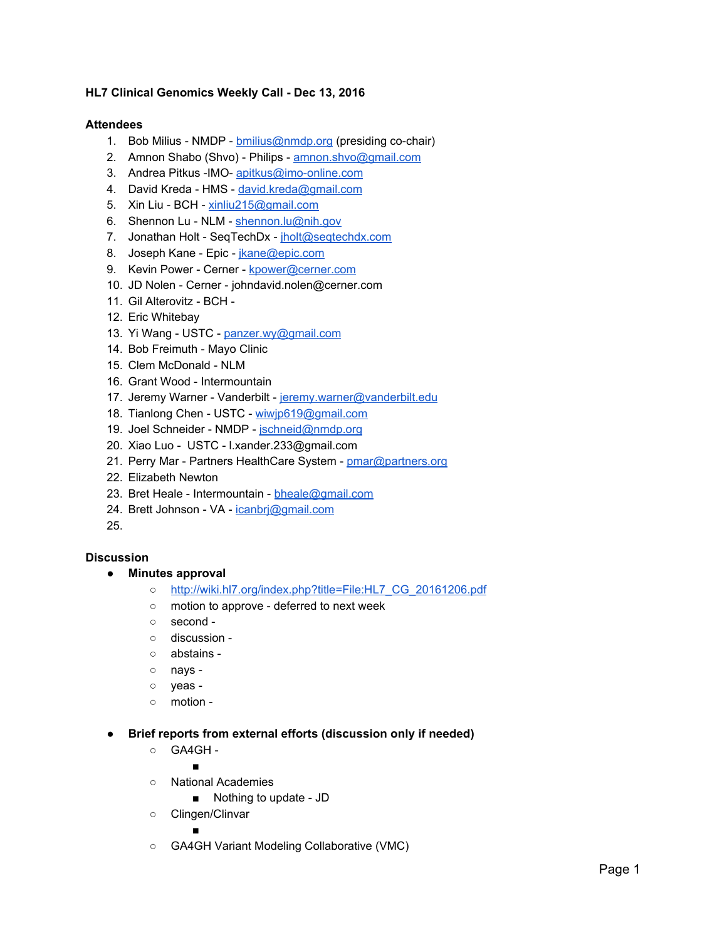## **HL7 Clinical Genomics Weekly Call - Dec 13, 2016**

## **Attendees**

- 1. Bob Milius NMDP [bmilius@nmdp.org](mailto:bmilius@nmdp.org) (presiding co-chair)
- 2. Amnon Shabo (Shvo) Philips - [amnon.shvo@gmail.com](mailto:amnon.shvo@gmail.com)
- 3. Andrea Pitkus -IMO- [apitkus@imo-online.com](mailto:apitkus@imo-online.com)
- 4. David Kreda HMS - [david.kreda@gmail.com](mailto:david.kreda@gmail.com)
- 5. Xin Liu BCH [xinliu215@gmail.com](mailto:xinliu215@gmail.com)
- 6. Shennon Lu NLM - [shennon.lu@nih.gov](mailto:shennon.lu@nih.gov)
- 7. Jonathan Holt SeqTechDx - [jholt@seqtechdx.com](mailto:jholt@seqtechdx.com)
- 8. Joseph Kane Epic - [jkane@epic.com](mailto:jkane@epic.com)
- 9. Kevin Power Cerner - [kpower@cerner.com](mailto:kpower@cerner.com)
- 10. JD Nolen Cerner johndavid.nolen@cerner.com
- 11. Gil Alterovitz BCH -
- 12. Eric Whitebay
- 13. Yi Wang USTC - [panzer.wy@gmail.com](mailto:panzer.wy@gmail.com)
- 14. Bob Freimuth Mayo Clinic
- 15. Clem McDonald NLM
- 16. Grant Wood Intermountain
- 17. Jeremy Warner Vanderbilt [jeremy.warner@vanderbilt.edu](mailto:jeremy.warner@vanderbilt.edu)
- 18. Tianlong Chen USTC - [wiwjp619@gmail.com](mailto:wiwjp619@gmail.com)
- 19. Joel Schneider NMDP - [jschneid@nmdp.org](mailto:jschneid@nmdp.org)
- 20. Xiao Luo USTC l.xander.233@gmail.com
- 21. Perry Mar Partners HealthCare System - [pmar@partners.org](mailto:pmar@partners.org)
- 22. Elizabeth Newton
- 23. Bret Heale Intermountain [bheale@gmail.com](mailto:bheale@gmail.com)
- 24. Brett Johnson VA icanbri@gmail.com
- 25.

## **Discussion**

- **● Minutes approval**
	- [http://wiki.hl7.org/index.php?title=File:HL7\\_CG\\_20161206.pdf](http://wiki.hl7.org/index.php?title=File:HL7_CG_20161206.pdf)
	- motion to approve deferred to next week
	- second -
	- discussion -
	- abstains -
	- nays -
	- yeas -
	- motion -
- **● Brief reports from external efforts (discussion only if needed)**
	- GA4GH -

■

- National Academies
	- Nothing to update JD
- Clingen/Clinvar

■

○ GA4GH Variant Modeling Collaborative (VMC)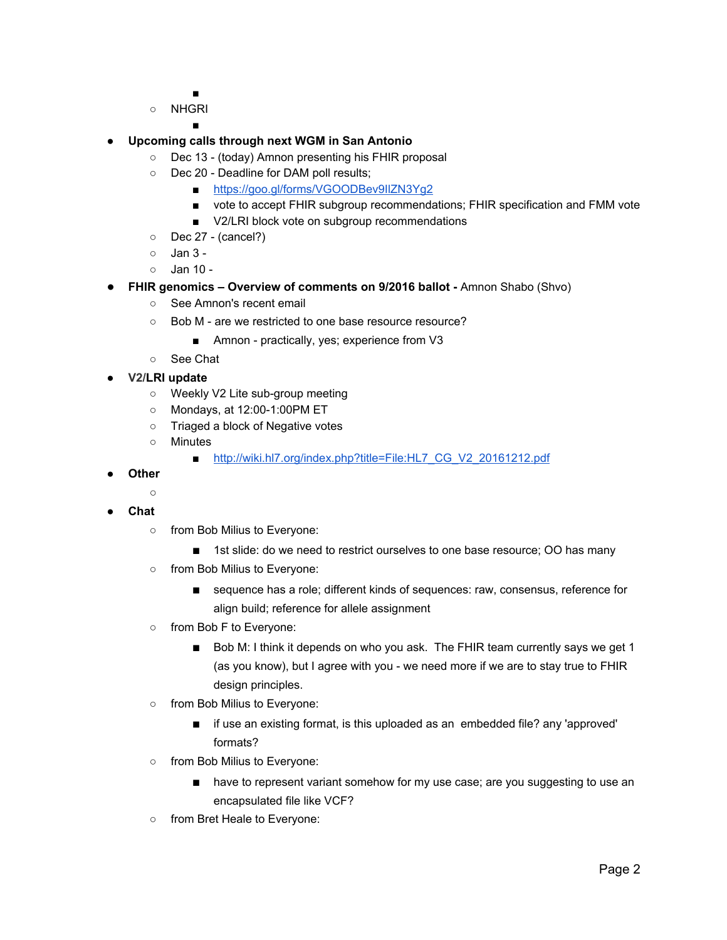■

○ NHGRI

■

- **● Upcoming calls through next WGM in San Antonio**
	- Dec 13 (today) Amnon presenting his FHIR proposal
	- Dec 20 Deadline for DAM poll results;
		- https://goo.gl/forms/VGOODBev9lIZN3Yg2
		- vote to accept FHIR subgroup recommendations; FHIR specification and FMM vote
		- V2/LRI block vote on subgroup recommendations
	- Dec 27 (cancel?)
	- $\circ$  Jan 3 -
	- Jan 10 -
- **FHIR genomics Overview of comments on 9/2016 ballot -** Amnon Shabo (Shvo)
	- See Amnon's recent email
	- Bob M are we restricted to one base resource resource?
		- Amnon practically, yes; experience from V3
	- See Chat
- **● V2/LRI update**
	- Weekly V2 Lite sub-group meeting
	- Mondays, at 12:00-1:00PM ET
	- Triaged a block of Negative votes
	- Minutes
		- [http://wiki.hl7.org/index.php?title=File:HL7\\_CG\\_V2\\_20161212.pdf](http://wiki.hl7.org/index.php?title=File:HL7_CG_V2_20161212.pdf)
- **● Other**
	- **○**
- **● Chat**
	- from Bob Milius to Everyone:
		- 1st slide: do we need to restrict ourselves to one base resource; OO has many
	- from Bob Milius to Everyone:
		- sequence has a role; different kinds of sequences: raw, consensus, reference for align build; reference for allele assignment
	- from Bob F to Everyone:
		- Bob M: I think it depends on who you ask. The FHIR team currently says we get 1 (as you know), but I agree with you - we need more if we are to stay true to FHIR design principles.
	- from Bob Milius to Everyone:
		- if use an existing format, is this uploaded as an embedded file? any 'approved' formats?
	- from Bob Milius to Everyone:
		- have to represent variant somehow for my use case; are you suggesting to use an encapsulated file like VCF?
	- from Bret Heale to Everyone: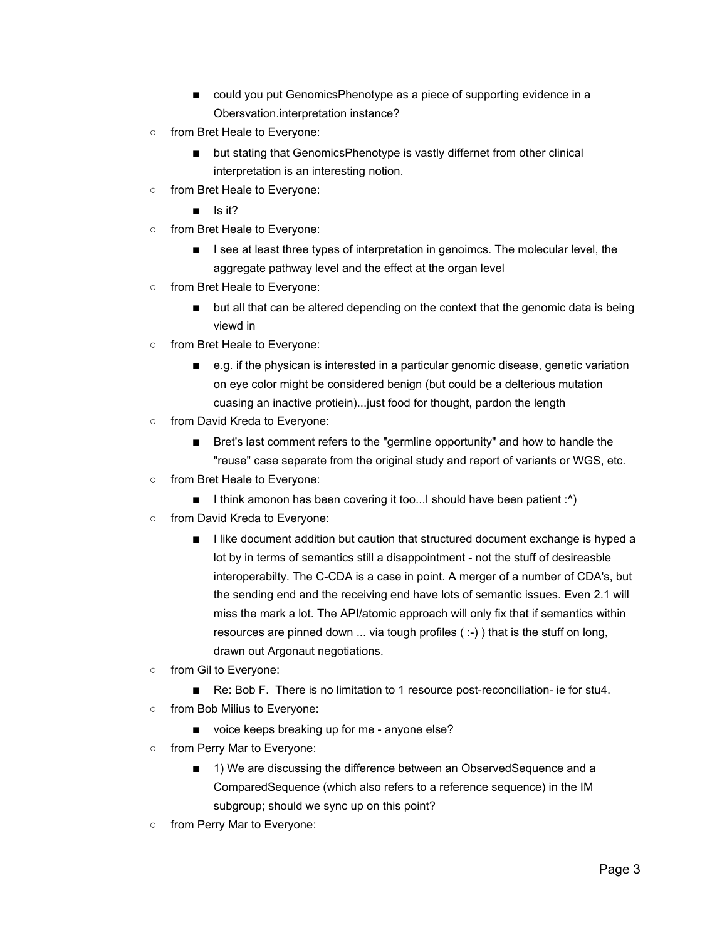- could you put GenomicsPhenotype as a piece of supporting evidence in a Obersvation.interpretation instance?
- from Bret Heale to Everyone:
	- but stating that GenomicsPhenotype is vastly differnet from other clinical interpretation is an interesting notion.
- from Bret Heale to Everyone:
	- Is it?
- from Bret Heale to Everyone:
	- I see at least three types of interpretation in genoimcs. The molecular level, the aggregate pathway level and the effect at the organ level
- from Bret Heale to Everyone:
	- but all that can be altered depending on the context that the genomic data is being viewd in
- from Bret Heale to Everyone:
	- e.g. if the physican is interested in a particular genomic disease, genetic variation on eye color might be considered benign (but could be a delterious mutation cuasing an inactive protiein)...just food for thought, pardon the length
- from David Kreda to Everyone:
	- Bret's last comment refers to the "germline opportunity" and how to handle the "reuse" case separate from the original study and report of variants or WGS, etc.
- from Bret Heale to Everyone:
	- I think amonon has been covering it too...I should have been patient :^)
- from David Kreda to Everyone:
	- I like document addition but caution that structured document exchange is hyped a lot by in terms of semantics still a disappointment - not the stuff of desireasble interoperabilty. The C-CDA is a case in point. A merger of a number of CDA's, but the sending end and the receiving end have lots of semantic issues. Even 2.1 will miss the mark a lot. The API/atomic approach will only fix that if semantics within resources are pinned down ... via tough profiles ( :-) ) that is the stuff on long, drawn out Argonaut negotiations.
- from Gil to Everyone:
	- Re: Bob F. There is no limitation to 1 resource post-reconciliation- ie for stu4.
- from Bob Milius to Everyone:
	- voice keeps breaking up for me anyone else?
- from Perry Mar to Everyone:
	- 1) We are discussing the difference between an ObservedSequence and a ComparedSequence (which also refers to a reference sequence) in the IM subgroup; should we sync up on this point?
- from Perry Mar to Everyone: